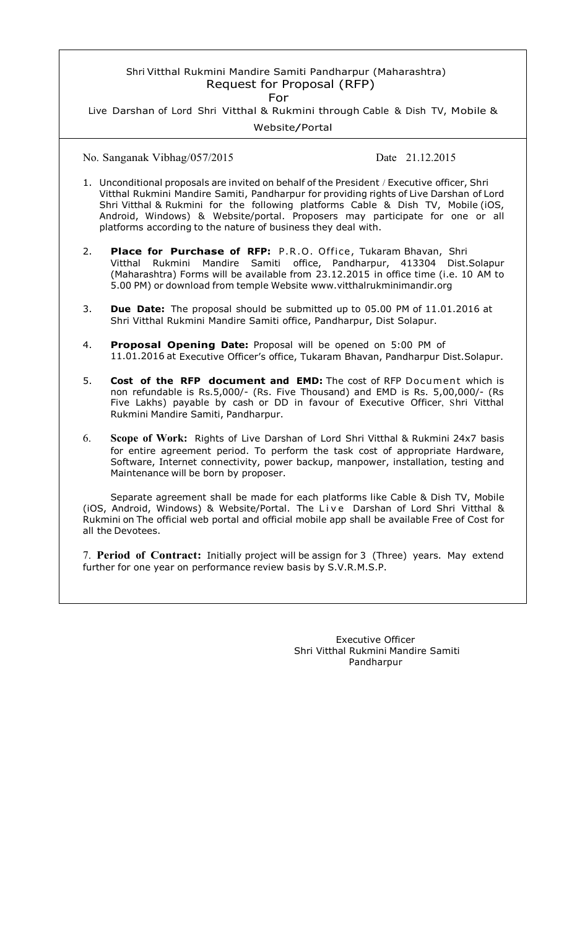## Shri Vitthal Rukmini Mandire Samiti Pandharpur (Maharashtra) Request for Proposal (RFP)

For

Live Darshan of Lord Shri Vitthal & Rukmini through Cable & Dish TV, Mobile &

Website/Portal

No. Sanganak Vibhag/057/2015 Date 21.12.2015

- 1. Unconditional proposals are invited on behalf of the President / Executive officer, Shri Vitthal Rukmini Mandire Samiti, Pandharpur for providing rights of Live Darshan of Lord Shri Vitthal & Rukmini for the following platforms Cable & Dish TV, Mobile (iOS, Android, Windows) & Website/portal. Proposers may participate for one or all platforms according to the nature of business they deal with.
- 2. **Place for Purchase of RFP:** P.R.O. Office, Tukaram Bhavan, Shri Vitthal Rukmini Mandire Samiti office, Pandharpur, 413304 Dist.Solapur (Maharashtra) Forms will be available from 23.12.2015 in office time (i.e. 10 AM to 5.00 PM) or download from temple Website www.vitthalrukminimandir.org
- 3. **Due Date:** The proposal should be submitted up to 05.00 PM of 11.01.2016 at Shri Vitthal Rukmini Mandire Samiti office, Pandharpur, Dist Solapur.
- 4. **Proposal Opening Date:** Proposal will be opened on 5:00 PM of 11.01.2016 at Executive Officer's office, Tukaram Bhavan, Pandharpur Dist.Solapur.
- 5. **Cost of the RFP document and EMD:** The cost of RFP Document which is non refundable is Rs.5,000/- (Rs. Five Thousand) and EMD is Rs. 5,00,000/- (Rs Five Lakhs) payable by cash or DD in favour of Executive Officer, Shri Vitthal Rukmini Mandire Samiti, Pandharpur.
- 6. **Scope of Work:** Rights of Live Darshan of Lord Shri Vitthal & Rukmini 24x7 basis for entire agreement period. To perform the task cost of appropriate Hardware, Software, Internet connectivity, power backup, manpower, installation, testing and Maintenance will be born by proposer.

Separate agreement shall be made for each platforms like Cable & Dish TV, Mobile (iOS, Android, Windows) & Website/Portal. The Live Darshan of Lord Shri Vitthal & Rukmini on The official web portal and official mobile app shall be available Free of Cost for all the Devotees.

7. **Period of Contract:** Initially project will be assign for 3 (Three) years. May extend further for one year on performance review basis by S.V.R.M.S.P.

> Executive Officer Shri Vitthal Rukmini Mandire Samiti Pandharpur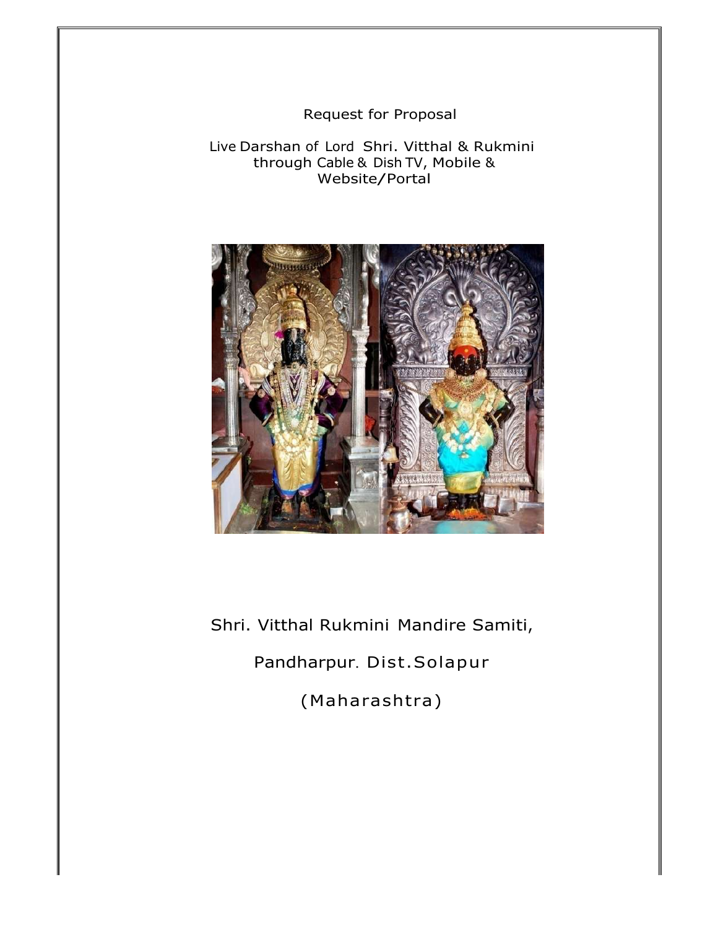Request for Proposal

Live Darshan of Lord Shri. Vitthal & Rukmini through Cable & Dish TV, Mobile & Website/Portal



Shri. Vitthal Rukmini Mandire Samiti, Pandharpur. Dist.Solapur (Maharashtra)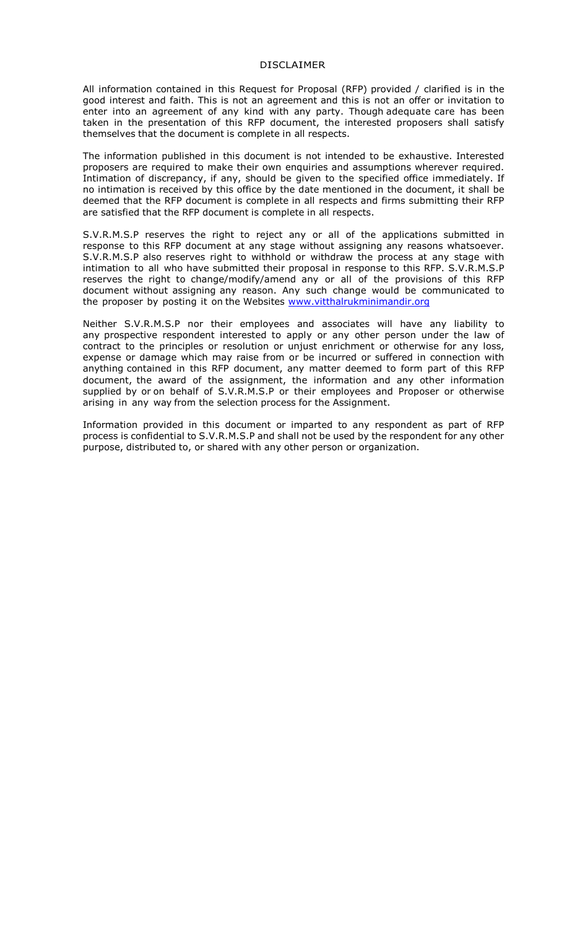#### DISCLAIMER

All information contained in this Request for Proposal (RFP) provided / clarified is in the good interest and faith. This is not an agreement and this is not an offer or invitation to enter into an agreement of any kind with any party. Though adequate care has been taken in the presentation of this RFP document, the interested proposers shall satisfy themselves that the document is complete in all respects.

The information published in this document is not intended to be exhaustive. Interested proposers are required to make their own enquiries and assumptions wherever required. Intimation of discrepancy, if any, should be given to the specified office immediately. If no intimation is received by this office by the date mentioned in the document, it shall be deemed that the RFP document is complete in all respects and firms submitting their RFP are satisfied that the RFP document is complete in all respects.

S.V.R.M.S.P reserves the right to reject any or all of the applications submitted in response to this RFP document at any stage without assigning any reasons whatsoever. S.V.R.M.S.P also reserves right to withhold or withdraw the process at any stage with intimation to all who have submitted their proposal in response to this RFP. S.V.R.M.S.P reserves the right to change/modify/amend any or all of the provisions of this RFP document without assigning any reason. Any such change would be communicated to the proposer by posting it on the Websites www.vitthalrukminimandir.org

Neither S.V.R.M.S.P nor their employees and associates will have any liability to any prospective respondent interested to apply or any other person under the law of contract to the principles or resolution or unjust enrichment or otherwise for any loss, expense or damage which may raise from or be incurred or suffered in connection with anything contained in this RFP document, any matter deemed to form part of this RFP document, the award of the assignment, the information and any other information supplied by or on behalf of S.V.R.M.S.P or their employees and Proposer or otherwise arising in any way from the selection process for the Assignment.

Information provided in this document or imparted to any respondent as part of RFP process is confidential to S.V.R.M.S.P and shall not be used by the respondent for any other purpose, distributed to, or shared with any other person or organization.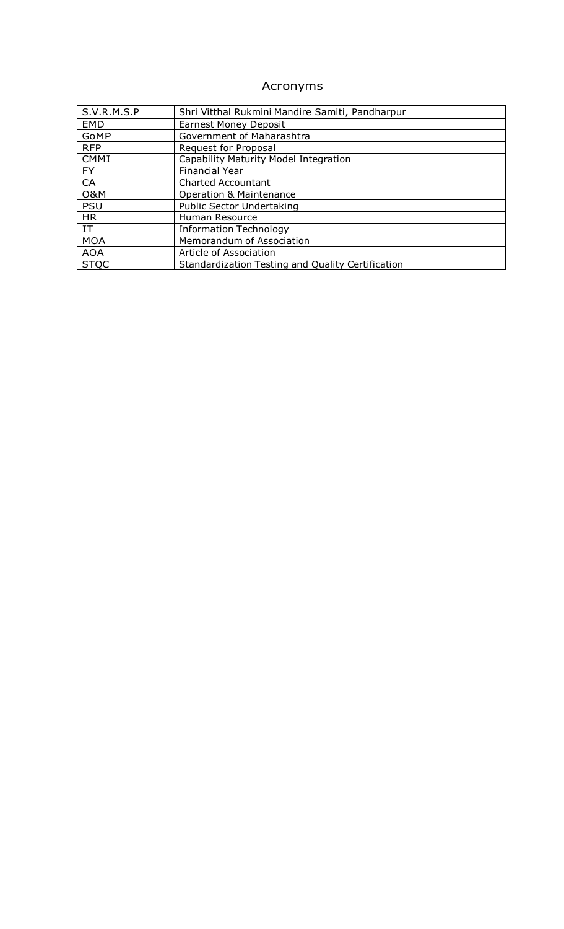# Acronyms

| S.V.R.M.S.P    | Shri Vitthal Rukmini Mandire Samiti, Pandharpur   |
|----------------|---------------------------------------------------|
| <b>EMD</b>     | <b>Earnest Money Deposit</b>                      |
| GoMP           | Government of Maharashtra                         |
| <b>RFP</b>     | Request for Proposal                              |
| CMMI           | Capability Maturity Model Integration             |
| FY.            | <b>Financial Year</b>                             |
| CA             | <b>Charted Accountant</b>                         |
| <b>O&amp;M</b> | <b>Operation &amp; Maintenance</b>                |
| <b>PSU</b>     | Public Sector Undertaking                         |
| <b>HR</b>      | Human Resource                                    |
| IT.            | <b>Information Technology</b>                     |
| <b>MOA</b>     | Memorandum of Association                         |
| <b>AOA</b>     | Article of Association                            |
| <b>STOC</b>    | Standardization Testing and Quality Certification |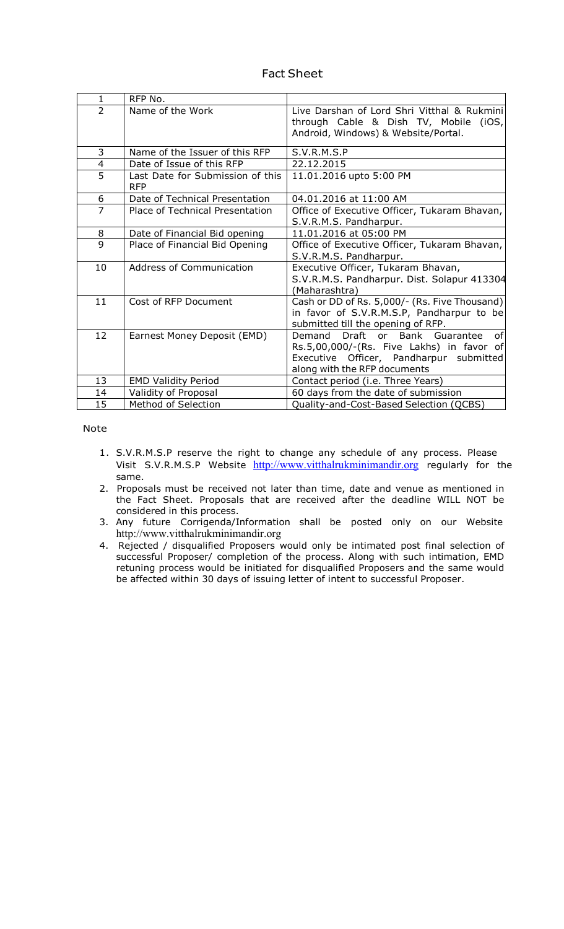| <b>Fact Sheet</b> |  |
|-------------------|--|
|                   |  |

| $\mathbf{1}$   | RFP No.                                        |                                                                                                                                                                    |  |
|----------------|------------------------------------------------|--------------------------------------------------------------------------------------------------------------------------------------------------------------------|--|
| $\overline{2}$ | Name of the Work                               | Live Darshan of Lord Shri Vitthal & Rukmini<br>through Cable & Dish TV, Mobile (iOS,<br>Android, Windows) & Website/Portal.                                        |  |
| 3              | Name of the Issuer of this RFP                 | S.V.R.M.S.P                                                                                                                                                        |  |
| $\overline{4}$ | Date of Issue of this RFP                      | 22.12.2015                                                                                                                                                         |  |
| 5              | Last Date for Submission of this<br><b>RFP</b> | 11.01.2016 upto 5:00 PM                                                                                                                                            |  |
| 6              | Date of Technical Presentation                 | 04.01.2016 at 11:00 AM                                                                                                                                             |  |
| $\overline{7}$ | Place of Technical Presentation                | Office of Executive Officer, Tukaram Bhavan,<br>S.V.R.M.S. Pandharpur.                                                                                             |  |
| 8              | Date of Financial Bid opening                  | 11.01.2016 at 05:00 PM                                                                                                                                             |  |
| 9              | Place of Financial Bid Opening                 | Office of Executive Officer, Tukaram Bhavan,<br>S.V.R.M.S. Pandharpur.                                                                                             |  |
| 10             | Address of Communication                       | Executive Officer, Tukaram Bhavan,<br>S.V.R.M.S. Pandharpur. Dist. Solapur 413304<br>(Maharashtra)                                                                 |  |
| 11             | Cost of RFP Document                           | Cash or DD of Rs. 5,000/- (Rs. Five Thousand)<br>in favor of S.V.R.M.S.P, Pandharpur to be<br>submitted till the opening of RFP.                                   |  |
| 12             | Earnest Money Deposit (EMD)                    | Draft or<br>Bank Guarantee<br>of<br>Demand<br>Rs.5,00,000/-(Rs. Five Lakhs) in favor of<br>Executive Officer, Pandharpur submitted<br>along with the RFP documents |  |
| 13             | <b>EMD Validity Period</b>                     | Contact period (i.e. Three Years)                                                                                                                                  |  |
| 14             | Validity of Proposal                           | 60 days from the date of submission                                                                                                                                |  |
| 15             | Method of Selection                            | Quality-and-Cost-Based Selection (QCBS)                                                                                                                            |  |

Note

- 1. S.V.R.M.S.P reserve the right to change any schedule of any process. Please Visit S.V.R.M.S.P Website http://www.vitthalrukminimandir.org regularly for the same.
- 2. Proposals must be received not later than time, date and venue as mentioned in the Fact Sheet. Proposals that are received after the deadline WILL NOT be considered in this process.
- 3. Any future Corrigenda/Information shall be posted only on our Website http://www.vitthalrukminimandir.org
- 4. Rejected / disqualified Proposers would only be intimated post final selection of successful Proposer/ completion of the process. Along with such intimation, EMD retuning process would be initiated for disqualified Proposers and the same would be affected within 30 days of issuing letter of intent to successful Proposer.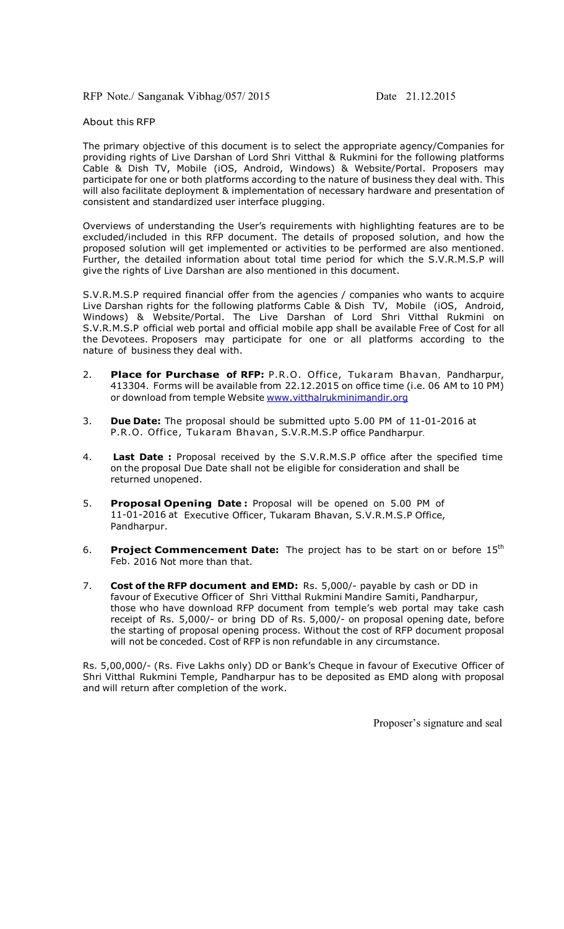RFP Note./ Sanganak Vibhag/057/ 2015 Date 21.12.2015

#### About this RFP

The primary objective of this document is to select the appropriate agency/Companies for providing rights of Live Darshan of Lord Shri Vitthal & Rukmini for the following platforms Cable & Dish TV, Mobile (iOS, Android, Windows) & Website/Portal. Proposers may participate for one or both platforms according to the nature of business they deal with. This will also facilitate deployment & implementation of necessary hardware and presentation of consistent and standardized user interface plugging.

Overviews of understanding the User's requirements with highlighting features are to be excluded/included in this RFP document. The details of proposed solution, and how the proposed solution will get implemented or activities to be performed are also mentioned. Further, the detailed information about total time period for which the S.V.R.M.S.P will give the rights of Live Darshan are also mentioned in this document.

S.V.R.M.S.P required financial offer from the agencies / companies who wants to acquire Live Darshan rights for the following platforms Cable & Dish TV, Mobile (iOS, Android, Windows) & Website/Portal. The Live Darshan of Lord Shri Vitthal Rukmini on S.V.R.M.S.P official web portal and official mobile app shall be available Free of Cost for all the Devotees. Proposers may participate for one or all platforms according to the nature of business they deal with.

- 2. **Place for Purchase of RFP:** P.R.O. Office, Tukaram Bhavan, Pandharpur, 413304. Forms will be available from 22.12.2015 on office time (i.e. 06 AM to 10 PM) or download from temple Website www.vitthalrukminimandir.org
- 3. **Due Date:** The proposal should be submitted upto 5.00 PM of 11-01-2016 at P.R.O. Office, Tukaram Bhavan, S.V.R.M.S.P office Pandharpur.
- 4. **Last Date :** Proposal received by the S.V.R.M.S.P office after the specified time on the proposal Due Date shall not be eligible for consideration and shall be returned unopened.
- 5. **Proposal Opening Date :** Proposal will be opened on 5.00 PM of 11-01-2016 at Executive Officer, Tukaram Bhavan, S.V.R.M.S.P Office, Pandharpur.
- 6. **Project Commencement Date:** The project has to be start on or before 15th Feb. 2016 Not more than that.
- 7. **Cost of the RFP document and EMD:** Rs. 5,000/- payable by cash or DD in favour of Executive Officer of Shri Vitthal Rukmini Mandire Samiti, Pandharpur, those who have download RFP document from temple's web portal may take cash receipt of Rs. 5,000/- or bring DD of Rs. 5,000/- on proposal opening date, before the starting of proposal opening process. Without the cost of RFP document proposal will not be conceded. Cost of RFP is non refundable in any circumstance.

Rs. 5,00,000/- (Rs. Five Lakhs only) DD or Bank's Cheque in favour of Executive Officer of Shri Vitthal Rukmini Temple, Pandharpur has to be deposited as EMD along with proposal and will return after completion of the work.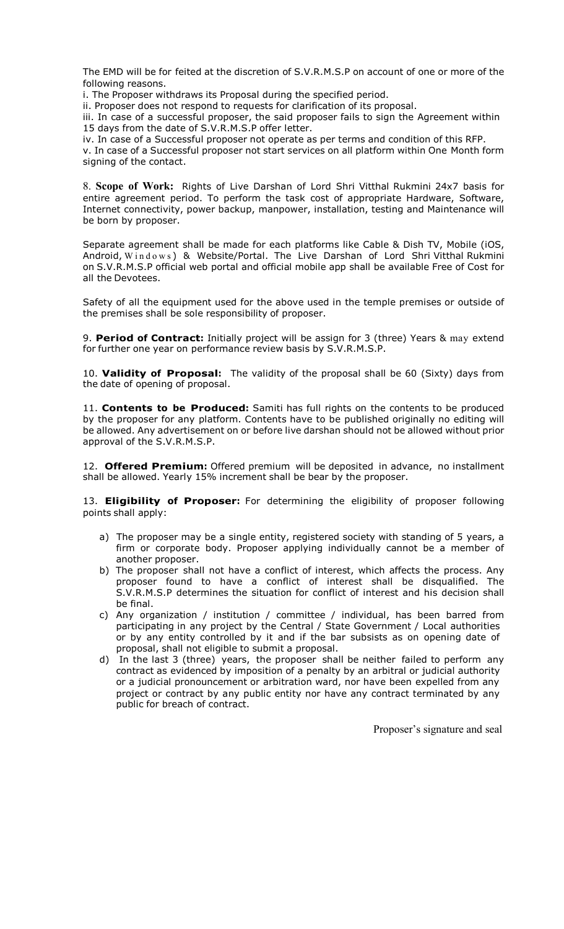The EMD will be for feited at the discretion of S.V.R.M.S.P on account of one or more of the following reasons.

i. The Proposer withdraws its Proposal during the specified period.

ii. Proposer does not respond to requests for clarification of its proposal.

iii. In case of a successful proposer, the said proposer fails to sign the Agreement within 15 days from the date of S.V.R.M.S.P offer letter.

iv. In case of a Successful proposer not operate as per terms and condition of this RFP.

v. In case of a Successful proposer not start services on all platform within One Month form signing of the contact.

8. **Scope of Work:** Rights of Live Darshan of Lord Shri Vitthal Rukmini 24x7 basis for entire agreement period. To perform the task cost of appropriate Hardware, Software, Internet connectivity, power backup, manpower, installation, testing and Maintenance will be born by proposer.

Separate agreement shall be made for each platforms like Cable & Dish TV, Mobile (iOS, Android, Windows) & Website/Portal. The Live Darshan of Lord Shri Vitthal Rukmini on S.V.R.M.S.P official web portal and official mobile app shall be available Free of Cost for all the Devotees.

Safety of all the equipment used for the above used in the temple premises or outside of the premises shall be sole responsibility of proposer.

9. **Period of Contract:** Initially project will be assign for 3 (three) Years & may extend for further one year on performance review basis by S.V.R.M.S.P.

10. **Validity of Proposal:** The validity of the proposal shall be 60 (Sixty) days from the date of opening of proposal.

11. **Contents to be Produced:** Samiti has full rights on the contents to be produced by the proposer for any platform. Contents have to be published originally no editing will be allowed. Any advertisement on or before live darshan should not be allowed without prior approval of the S.V.R.M.S.P.

12. **Offered Premium:** Offered premium will be deposited in advance, no installment shall be allowed. Yearly 15% increment shall be bear by the proposer.

13. **Eligibility of Proposer:** For determining the eligibility of proposer following points shall apply:

- a) The proposer may be a single entity, registered society with standing of 5 years, a firm or corporate body. Proposer applying individually cannot be a member of another proposer.
- b) The proposer shall not have a conflict of interest, which affects the process. Any proposer found to have a conflict of interest shall be disqualified. The S.V.R.M.S.P determines the situation for conflict of interest and his decision shall be final.
- c) Any organization / institution / committee / individual, has been barred from participating in any project by the Central / State Government / Local authorities or by any entity controlled by it and if the bar subsists as on opening date of proposal, shall not eligible to submit a proposal.
- d) In the last 3 (three) years, the proposer shall be neither failed to perform any contract as evidenced by imposition of a penalty by an arbitral or judicial authority or a judicial pronouncement or arbitration ward, nor have been expelled from any project or contract by any public entity nor have any contract terminated by any public for breach of contract.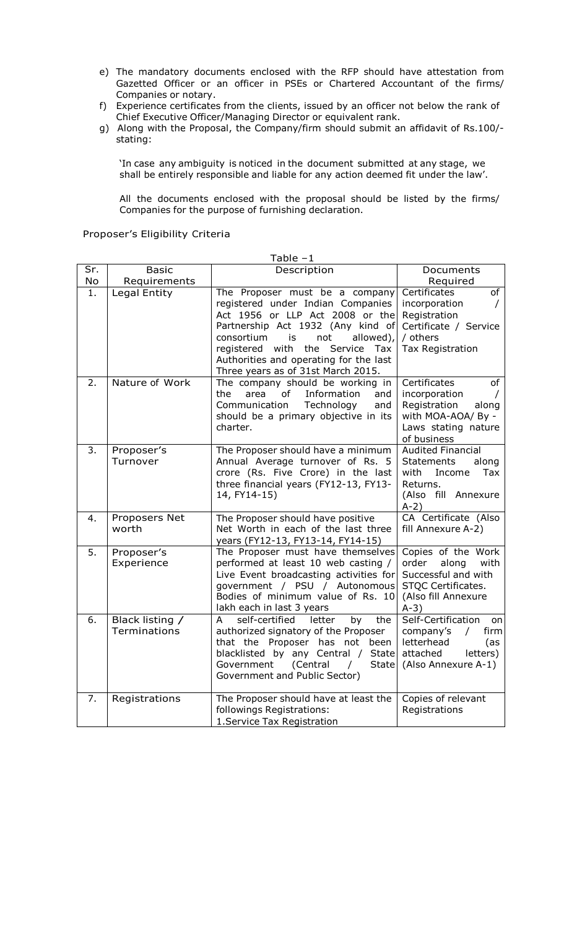- e) The mandatory documents enclosed with the RFP should have attestation from Gazetted Officer or an officer in PSEs or Chartered Accountant of the firms/ Companies or notary.
- f) Experience certificates from the clients, issued by an officer not below the rank of Chief Executive Officer/Managing Director or equivalent rank.
- g) Along with the Proposal, the Company/firm should submit an affidavit of Rs.100/ stating:

'In case any ambiguity is noticed in the document submitted at any stage, we shall be entirely responsible and liable for any action deemed fit under the law'.

All the documents enclosed with the proposal should be listed by the firms/ Companies for the purpose of furnishing declaration.

Proposer's Eligibility Criteria

|          |                                 | Table –1                                                                                                                                                                                                                                                                                                                                            |                                                                                                                                                  |
|----------|---------------------------------|-----------------------------------------------------------------------------------------------------------------------------------------------------------------------------------------------------------------------------------------------------------------------------------------------------------------------------------------------------|--------------------------------------------------------------------------------------------------------------------------------------------------|
| Sr.      | <b>Basic</b>                    | Description                                                                                                                                                                                                                                                                                                                                         | Documents                                                                                                                                        |
| No       | Requirements                    |                                                                                                                                                                                                                                                                                                                                                     | Required                                                                                                                                         |
| 1.<br>2. | Legal Entity<br>Nature of Work  | The Proposer must be a company<br>registered under Indian Companies<br>Act 1956 or LLP Act 2008 or the<br>Partnership Act 1932 (Any kind of<br>consortium is<br>not<br>allowed),<br>with<br>the<br>Service<br>registered<br>Tax<br>Authorities and operating for the last<br>Three years as of 31st March 2015.<br>The company should be working in | Certificates<br>of<br>incorporation<br>$\sqrt{2}$<br>Registration<br>Certificate / Service<br>/ others<br>Tax Registration<br>Certificates<br>of |
|          |                                 | Information<br>the<br>area<br>of<br>and<br>Technology<br>Communication<br>and<br>should be a primary objective in its<br>charter.                                                                                                                                                                                                                   | incorporation<br>Registration<br>along<br>with MOA-AOA/ By -<br>Laws stating nature<br>of business                                               |
| 3.       | Proposer's<br>Turnover          | The Proposer should have a minimum<br>Annual Average turnover of Rs. 5<br>crore (Rs. Five Crore) in the last<br>three financial years (FY12-13, FY13-<br>14, FY14-15)                                                                                                                                                                               | <b>Audited Financial</b><br><b>Statements</b><br>along<br>with<br>Income<br>Tax<br>Returns.<br>(Also fill Annexure<br>$A-2)$                     |
| 4.       | Proposers Net<br>worth          | The Proposer should have positive<br>Net Worth in each of the last three<br>years (FY12-13, FY13-14, FY14-15)                                                                                                                                                                                                                                       | CA Certificate (Also<br>fill Annexure A-2)                                                                                                       |
| 5.       | Proposer's<br>Experience        | The Proposer must have themselves<br>performed at least 10 web casting /<br>Live Event broadcasting activities for<br>government / PSU / Autonomous<br>Bodies of minimum value of Rs. 10<br>lakh each in last 3 years                                                                                                                               | Copies of the Work<br>order<br>along<br>with<br>Successful and with<br>STQC Certificates.<br>(Also fill Annexure<br>$A-3)$                       |
| 6.       | Black listing /<br>Terminations | self-certified<br>A<br>letter<br>by<br>the<br>authorized signatory of the Proposer<br>that the Proposer has not been<br>blacklisted by any Central / State<br>(Central<br>Government<br><b>State</b><br>$\sqrt{2}$<br>Government and Public Sector)                                                                                                 | Self-Certification<br>on<br>company's<br>$\sqrt{2}$<br>firm<br>letterhead<br>(as<br>attached<br>letters)<br>(Also Annexure A-1)                  |
| 7.       | Registrations                   | The Proposer should have at least the<br>followings Registrations:<br>1. Service Tax Registration                                                                                                                                                                                                                                                   | Copies of relevant<br>Registrations                                                                                                              |

Table –1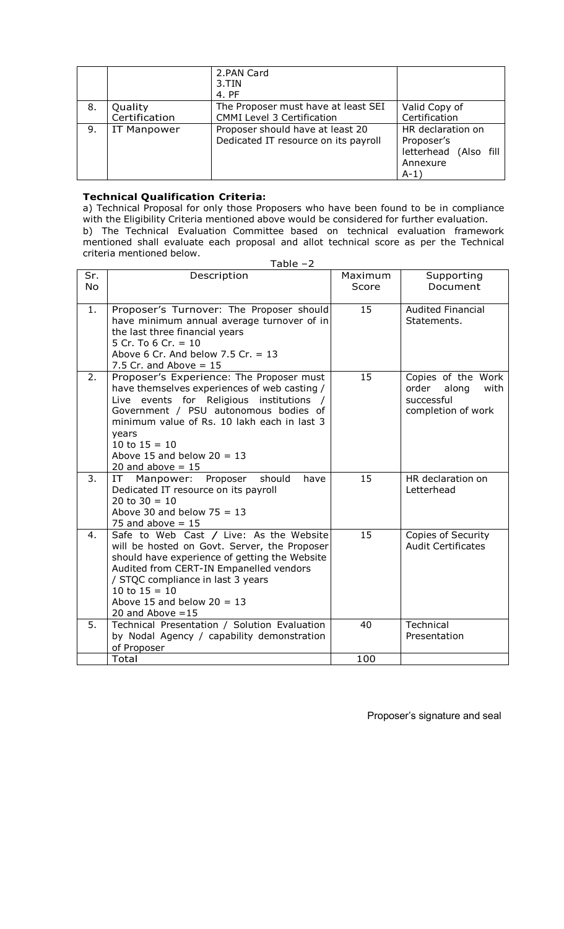|    |                          | 2.PAN Card<br>3.TIN<br>4. PF                                             |                                                                                |
|----|--------------------------|--------------------------------------------------------------------------|--------------------------------------------------------------------------------|
| 8. | Quality<br>Certification | The Proposer must have at least SEI<br><b>CMMI Level 3 Certification</b> | Valid Copy of<br>Certification                                                 |
| 9. | <b>IT Manpower</b>       | Proposer should have at least 20<br>Dedicated IT resource on its payroll | HR declaration on<br>Proposer's<br>letterhead (Also fill<br>Annexure<br>$A-1)$ |

## **Technical Qualification Criteria:**

criteria mentioned below.

a) Technical Proposal for only those Proposers who have been found to be in compliance with the Eligibility Criteria mentioned above would be considered for further evaluation. b) The Technical Evaluation Committee based on technical evaluation framework mentioned shall evaluate each proposal and allot technical score as per the Technical

|           | Table $-2$                                                                                                                                                                                                                                                                                                      |                  |                                                                                  |  |  |
|-----------|-----------------------------------------------------------------------------------------------------------------------------------------------------------------------------------------------------------------------------------------------------------------------------------------------------------------|------------------|----------------------------------------------------------------------------------|--|--|
| Sr.<br>No | Description                                                                                                                                                                                                                                                                                                     | Maximum<br>Score | Supporting<br>Document                                                           |  |  |
| 1.        | Proposer's Turnover: The Proposer should<br>have minimum annual average turnover of in<br>the last three financial years<br>5 Cr. To 6 Cr. = $10$<br>Above 6 Cr. And below 7.5 Cr. = $13$<br>7.5 Cr. and Above $= 15$                                                                                           | 15               | <b>Audited Financial</b><br>Statements.                                          |  |  |
| 2.        | Proposer's Experience: The Proposer must<br>have themselves experiences of web casting /<br>Live events for Religious institutions /<br>Government / PSU autonomous bodies of<br>minimum value of Rs. 10 lakh each in last 3<br>years<br>10 to $15 = 10$<br>Above 15 and below $20 = 13$<br>20 and above $= 15$ | 15               | Copies of the Work<br>order<br>along<br>with<br>successful<br>completion of work |  |  |
| 3.        | should<br>Manpower:<br>Proposer<br>have<br>IT<br>Dedicated IT resource on its payroll<br>20 to $30 = 10$<br>Above 30 and below $75 = 13$<br>75 and above $= 15$                                                                                                                                                 | 15               | HR declaration on<br>Letterhead                                                  |  |  |
| 4.        | Safe to Web Cast / Live: As the Website<br>will be hosted on Govt. Server, the Proposer<br>should have experience of getting the Website<br>Audited from CERT-IN Empanelled vendors<br>/ STQC compliance in last 3 years<br>10 to $15 = 10$<br>Above 15 and below $20 = 13$<br>20 and Above $=15$               | 15               | Copies of Security<br><b>Audit Certificates</b>                                  |  |  |
| 5.        | Technical Presentation / Solution Evaluation<br>by Nodal Agency / capability demonstration<br>of Proposer                                                                                                                                                                                                       | 40               | Technical<br>Presentation                                                        |  |  |
|           | Total                                                                                                                                                                                                                                                                                                           | 100              |                                                                                  |  |  |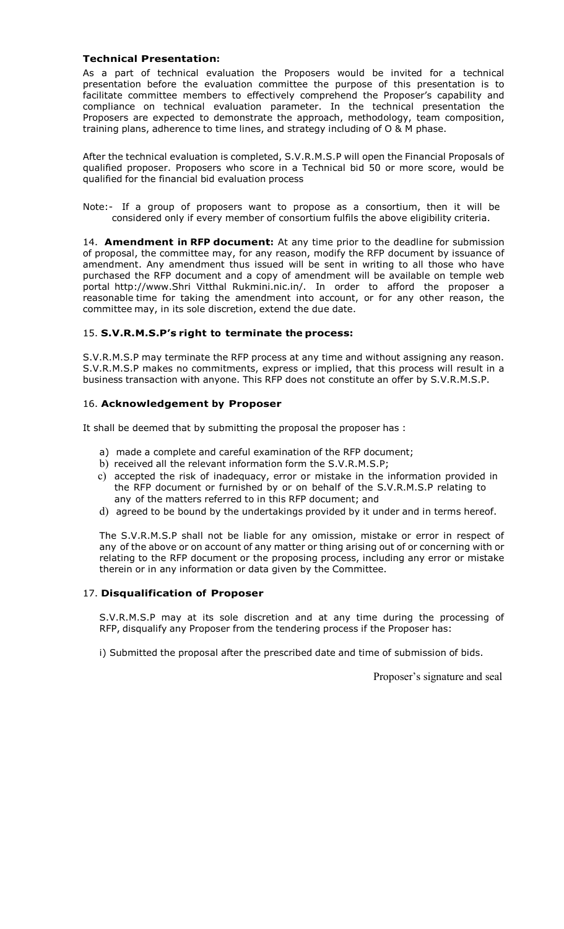#### **Technical Presentation:**

As a part of technical evaluation the Proposers would be invited for a technical presentation before the evaluation committee the purpose of this presentation is to facilitate committee members to effectively comprehend the Proposer's capability and compliance on technical evaluation parameter. In the technical presentation the Proposers are expected to demonstrate the approach, methodology, team composition, training plans, adherence to time lines, and strategy including of O & M phase.

After the technical evaluation is completed, S.V.R.M.S.P will open the Financial Proposals of qualified proposer. Proposers who score in a Technical bid 50 or more score, would be qualified for the financial bid evaluation process

Note:- If a group of proposers want to propose as a consortium, then it will be considered only if every member of consortium fulfils the above eligibility criteria.

14. **Amendment in RFP document:** At any time prior to the deadline for submission of proposal, the committee may, for any reason, modify the RFP document by issuance of amendment. Any amendment thus issued will be sent in writing to all those who have purchased the RFP document and a copy of amendment will be available on temple web portal http://www.Shri Vitthal Rukmini.nic.in/. In order to afford the proposer a reasonable time for taking the amendment into account, or for any other reason, the committee may, in its sole discretion, extend the due date.

#### 15. **S.V.R.M.S.P's right to terminate the process:**

S.V.R.M.S.P may terminate the RFP process at any time and without assigning any reason. S.V.R.M.S.P makes no commitments, express or implied, that this process will result in a business transaction with anyone. This RFP does not constitute an offer by S.V.R.M.S.P.

## 16. **Acknowledgement by Proposer**

It shall be deemed that by submitting the proposal the proposer has :

- a) made a complete and careful examination of the RFP document;
- b) received all the relevant information form the S.V.R.M.S.P;
- c) accepted the risk of inadequacy, error or mistake in the information provided in the RFP document or furnished by or on behalf of the S.V.R.M.S.P relating to any of the matters referred to in this RFP document; and
- d) agreed to be bound by the undertakings provided by it under and in terms hereof.

The S.V.R.M.S.P shall not be liable for any omission, mistake or error in respect of any of the above or on account of any matter or thing arising out of or concerning with or relating to the RFP document or the proposing process, including any error or mistake therein or in any information or data given by the Committee.

#### 17. **Disqualification of Proposer**

S.V.R.M.S.P may at its sole discretion and at any time during the processing of RFP, disqualify any Proposer from the tendering process if the Proposer has:

i) Submitted the proposal after the prescribed date and time of submission of bids.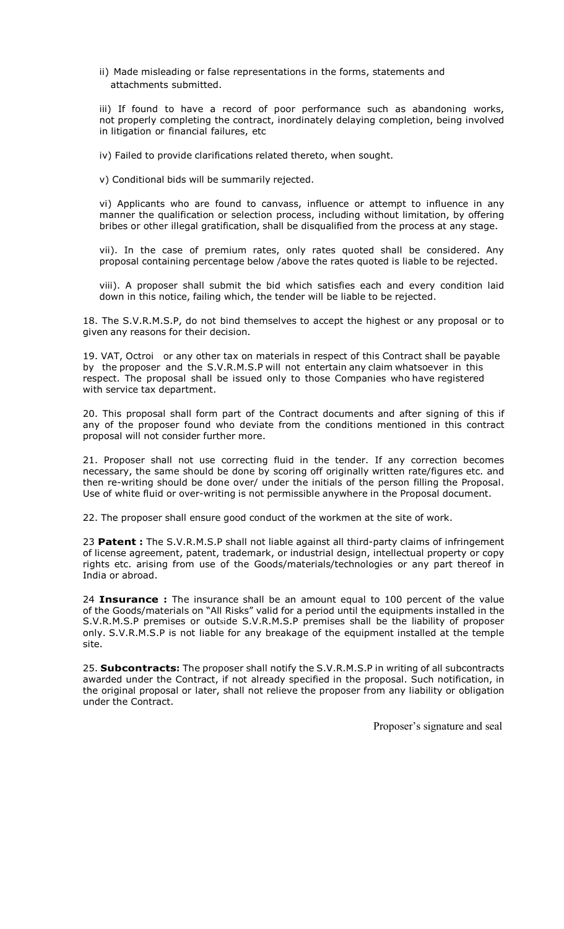ii) Made misleading or false representations in the forms, statements and attachments submitted.

iii) If found to have a record of poor performance such as abandoning works, not properly completing the contract, inordinately delaying completion, being involved in litigation or financial failures, etc

iv) Failed to provide clarifications related thereto, when sought.

v) Conditional bids will be summarily rejected.

vi) Applicants who are found to canvass, influence or attempt to influence in any manner the qualification or selection process, including without limitation, by offering bribes or other illegal gratification, shall be disqualified from the process at any stage.

vii). In the case of premium rates, only rates quoted shall be considered. Any proposal containing percentage below /above the rates quoted is liable to be rejected.

viii). A proposer shall submit the bid which satisfies each and every condition laid down in this notice, failing which, the tender will be liable to be rejected.

18. The S.V.R.M.S.P, do not bind themselves to accept the highest or any proposal or to given any reasons for their decision.

19. VAT, Octroi or any other tax on materials in respect of this Contract shall be payable by the proposer and the S.V.R.M.S.P will not entertain any claim whatsoever in this respect. The proposal shall be issued only to those Companies who have registered with service tax department.

20. This proposal shall form part of the Contract documents and after signing of this if any of the proposer found who deviate from the conditions mentioned in this contract proposal will not consider further more.

21. Proposer shall not use correcting fluid in the tender. If any correction becomes necessary, the same should be done by scoring off originally written rate/figures etc. and then re-writing should be done over/ under the initials of the person filling the Proposal. Use of white fluid or over-writing is not permissible anywhere in the Proposal document.

22. The proposer shall ensure good conduct of the workmen at the site of work.

23 **Patent :** The S.V.R.M.S.P shall not liable against all third-party claims of infringement of license agreement, patent, trademark, or industrial design, intellectual property or copy rights etc. arising from use of the Goods/materials/technologies or any part thereof in India or abroad.

24 **Insurance :** The insurance shall be an amount equal to 100 percent of the value of the Goods/materials on "All Risks" valid for a period until the equipments installed in the S.V.R.M.S.P premises or outside S.V.R.M.S.P premises shall be the liability of proposer only. S.V.R.M.S.P is not liable for any breakage of the equipment installed at the temple site.

25. **Subcontracts:** The proposer shall notify the S.V.R.M.S.P in writing of all subcontracts awarded under the Contract, if not already specified in the proposal. Such notification, in the original proposal or later, shall not relieve the proposer from any liability or obligation under the Contract.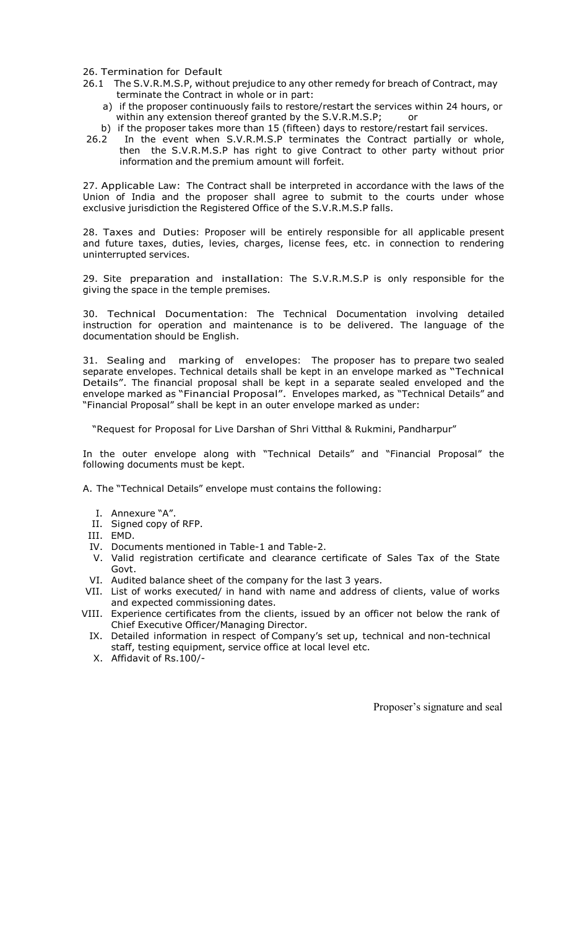26. Termination for Default

- 26.1 The S.V.R.M.S.P, without prejudice to any other remedy for breach of Contract, may terminate the Contract in whole or in part:
	- a) if the proposer continuously fails to restore/restart the services within 24 hours, or within any extension thereof granted by the S.V.R.M.S.P; or
	- b) if the proposer takes more than 15 (fifteen) days to restore/restart fail services.
- 26.2 In the event when S.V.R.M.S.P terminates the Contract partially or whole, then the S.V.R.M.S.P has right to give Contract to other party without prior information and the premium amount will forfeit.

27. Applicable Law: The Contract shall be interpreted in accordance with the laws of the Union of India and the proposer shall agree to submit to the courts under whose exclusive jurisdiction the Registered Office of the S.V.R.M.S.P falls.

28. Taxes and Duties: Proposer will be entirely responsible for all applicable present and future taxes, duties, levies, charges, license fees, etc. in connection to rendering uninterrupted services.

29. Site preparation and installation: The S.V.R.M.S.P is only responsible for the giving the space in the temple premises.

30. Technical Documentation: The Technical Documentation involving detailed instruction for operation and maintenance is to be delivered. The language of the documentation should be English.

31. Sealing and marking of envelopes: The proposer has to prepare two sealed separate envelopes. Technical details shall be kept in an envelope marked as "Technical Details". The financial proposal shall be kept in a separate sealed enveloped and the envelope marked as "Financial Proposal". Envelopes marked, as "Technical Details" and "Financial Proposal" shall be kept in an outer envelope marked as under:

"Request for Proposal for Live Darshan of Shri Vitthal & Rukmini, Pandharpur"

In the outer envelope along with "Technical Details" and "Financial Proposal" the following documents must be kept.

A. The "Technical Details" envelope must contains the following:

- I. Annexure "A".
- II. Signed copy of RFP.
- III. EMD.
- IV. Documents mentioned in Table-1 and Table-2.
- V. Valid registration certificate and clearance certificate of Sales Tax of the State Govt.
- VI. Audited balance sheet of the company for the last 3 years.
- VII. List of works executed/ in hand with name and address of clients, value of works and expected commissioning dates.
- VIII. Experience certificates from the clients, issued by an officer not below the rank of Chief Executive Officer/Managing Director.
	- IX. Detailed information in respect of Company's set up, technical and non-technical staff, testing equipment, service office at local level etc.
	- X. Affidavit of Rs.100/-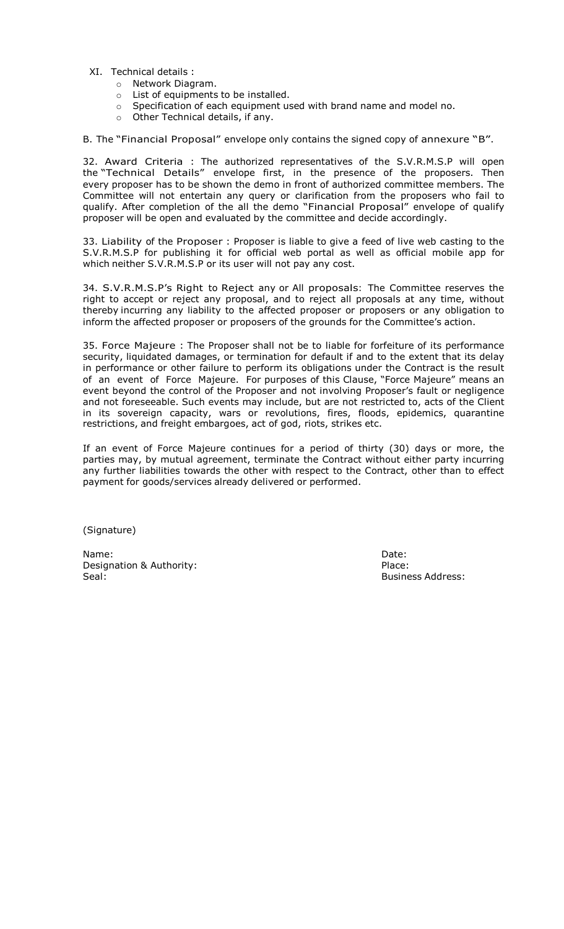- XI. Technical details :
	- o Network Diagram.
	- o List of equipments to be installed.
	- Specification of each equipment used with brand name and model no.
	- o Specification of eacn equipment of Other Technical details, if any.

B. The "Financial Proposal" envelope only contains the signed copy of annexure "B".

32. Award Criteria : The authorized representatives of the S.V.R.M.S.P will open the "Technical Details" envelope first, in the presence of the proposers. Then every proposer has to be shown the demo in front of authorized committee members. The Committee will not entertain any query or clarification from the proposers who fail to qualify. After completion of the all the demo "Financial Proposal" envelope of qualify proposer will be open and evaluated by the committee and decide accordingly.

33. Liability of the Proposer : Proposer is liable to give a feed of live web casting to the S.V.R.M.S.P for publishing it for official web portal as well as official mobile app for which neither S.V.R.M.S.P or its user will not pay any cost.

34. S.V.R.M.S.P's Right to Reject any or All proposals: The Committee reserves the right to accept or reject any proposal, and to reject all proposals at any time, without thereby incurring any liability to the affected proposer or proposers or any obligation to inform the affected proposer or proposers of the grounds for the Committee's action.

35. Force Majeure : The Proposer shall not be to liable for forfeiture of its performance security, liquidated damages, or termination for default if and to the extent that its delay in performance or other failure to perform its obligations under the Contract is the result of an event of Force Majeure. For purposes of this Clause, "Force Majeure" means an event beyond the control of the Proposer and not involving Proposer's fault or negligence and not foreseeable. Such events may include, but are not restricted to, acts of the Client in its sovereign capacity, wars or revolutions, fires, floods, epidemics, quarantine restrictions, and freight embargoes, act of god, riots, strikes etc.

If an event of Force Majeure continues for a period of thirty (30) days or more, the parties may, by mutual agreement, terminate the Contract without either party incurring any further liabilities towards the other with respect to the Contract, other than to effect payment for goods/services already delivered or performed.

(Signature)

Name: Date: Designation & Authority: Place: Seal: Business Address: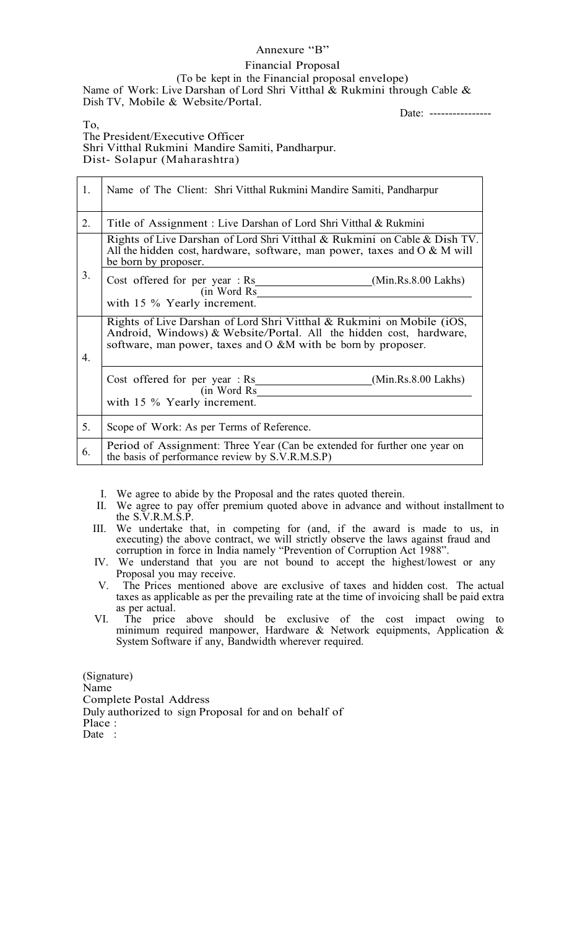## Annexure "B"

## Financial Proposal

(To be kept in the Financial proposal envelope) Name of Work: Live Darshan of Lord Shri Vitthal & Rukmini through Cable & Dish TV, Mobile & Website/Portal.

Date: ----------------

To,

The President/Executive Officer Shri Vitthal Rukmini Mandire Samiti, Pandharpur. Dist- Solapur (Maharashtra)

| 1.               | Name of The Client: Shri Vitthal Rukmini Mandire Samiti, Pandharpur                                                                                                                                          |
|------------------|--------------------------------------------------------------------------------------------------------------------------------------------------------------------------------------------------------------|
| 2.               | Title of Assignment: Live Darshan of Lord Shri Vitthal & Rukmini                                                                                                                                             |
|                  | Rights of Live Darshan of Lord Shri Vitthal & Rukmini on Cable & Dish TV.<br>All the hidden cost, hardware, software, man power, taxes and $\overline{O} \& M$ will<br>be born by proposer.                  |
| 3.               | Cost offered for per year $:$ Rs<br>(Min.Rs.8.00 Lakhs)<br>(in Word Rs)<br>with 15 % Yearly increment.                                                                                                       |
| $\overline{4}$ . | Rights of Live Darshan of Lord Shri Vitthal & Rukmini on Mobile (iOS,<br>Android, Windows) & Website/Portal. All the hidden cost, hardware,<br>software, man power, taxes and O &M with be born by proposer. |
|                  | Cost offered for per year $:$ Rs<br>(Min.Rs.8.00 Lakhs)<br>(in Word Rs)<br>with 15 % Yearly increment.                                                                                                       |
| 5.               | Scope of Work: As per Terms of Reference.                                                                                                                                                                    |
| 6.               | Period of Assignment: Three Year (Can be extended for further one year on<br>the basis of performance review by S.V.R.M.S.P)                                                                                 |

I. We agree to abide by the Proposal and the rates quoted therein.

- II. We agree to pay offer premium quoted above in advance and without installment to the S.V.R.M.S.P.
- III. We undertake that, in competing for (and, if the award is made to us, in executing) the above contract, we will strictly observe the laws against fraud and corruption in force in India namely "Prevention of Corruption Act 1988".
- IV. We understand that you are not bound to accept the highest/lowest or any Proposal you may receive.
- V. The Prices mentioned above are exclusive of taxes and hidden cost. The actual taxes as applicable as per the prevailing rate at the time of invoicing shall be paid extra as per actual.
- VI. The price above should be exclusive of the cost impact owing to minimum required manpower, Hardware & Network equipments, Application & System Software if any, Bandwidth wherever required.

(Signature) Name Complete Postal Address Duly authorized to sign Proposal for and on behalf of Place : Date :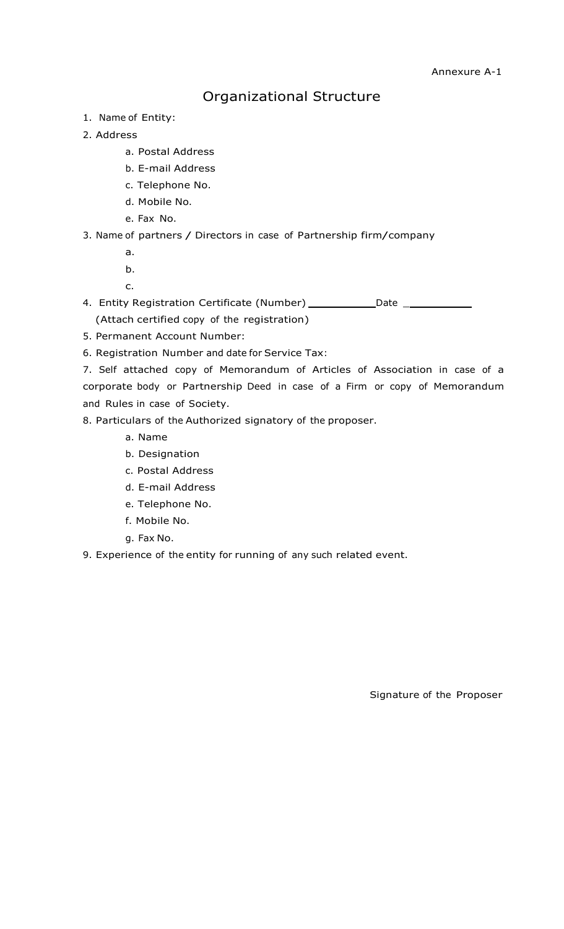## Organizational Structure

- 1. Name of Entity:
- 2. Address
	- a. Postal Address
	- b. E-mail Address
	- c. Telephone No.
	- d. Mobile No.
	- e. Fax No.

3. Name of partners / Directors in case of Partnership firm/company

- a.
- b.

c.

4. Entity Registration Certificate (Number) Date \_ (Attach certified copy of the registration)

- 5. Permanent Account Number:
- 6. Registration Number and date for Service Tax:

7. Self attached copy of Memorandum of Articles of Association in case of a corporate body or Partnership Deed in case of a Firm or copy of Memorandum and Rules in case of Society.

- 8. Particulars of the Authorized signatory of the proposer.
	- a. Name
	- b. Designation
	- c. Postal Address
	- d. E-mail Address
	- e. Telephone No.
	- f. Mobile No.
	- g. Fax No.
- 9. Experience of the entity for running of any such related event.

Signature of the Proposer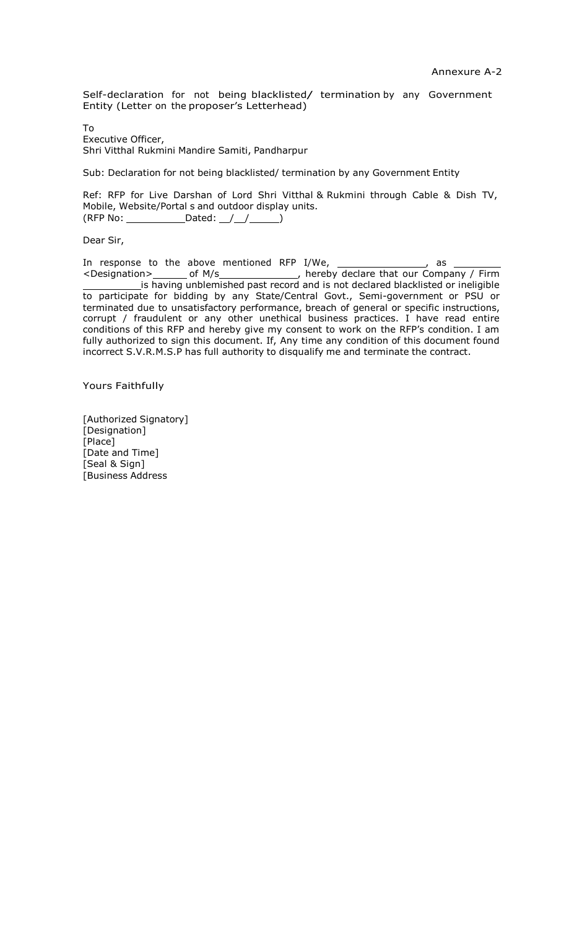Self-declaration for not being blacklisted/ termination by any Government Entity (Letter on the proposer's Letterhead)

To Executive Officer, Shri Vitthal Rukmini Mandire Samiti, Pandharpur

Sub: Declaration for not being blacklisted/ termination by any Government Entity

Ref: RFP for Live Darshan of Lord Shri Vitthal & Rukmini through Cable & Dish TV, Mobile, Website/Portal s and outdoor display units.  $(RFP No:$  Dated:  $//$   $//$   $()$ 

Dear Sir,

In response to the above mentioned RFP I/We, \_\_\_\_\_\_\_\_\_\_\_\_\_\_\_\_\_, as <Designation>\_\_\_\_\_\_\_\_\_ of M/s\_\_\_\_\_\_\_\_\_\_\_\_\_\_\_\_\_\_, hereby declare that our Company / Firm is having unblemished past record and is not declared blacklisted or ineligible to participate for bidding by any State/Central Govt., Semi-government or PSU or terminated due to unsatisfactory performance, breach of general or specific instructions, corrupt / fraudulent or any other unethical business practices. I have read entire conditions of this RFP and hereby give my consent to work on the RFP's condition. I am fully authorized to sign this document. If, Any time any condition of this document found incorrect S.V.R.M.S.P has full authority to disqualify me and terminate the contract.

Yours Faithfully

[Authorized Signatory] [Designation] [Place] [Date and Time] [Seal & Sign] [Business Address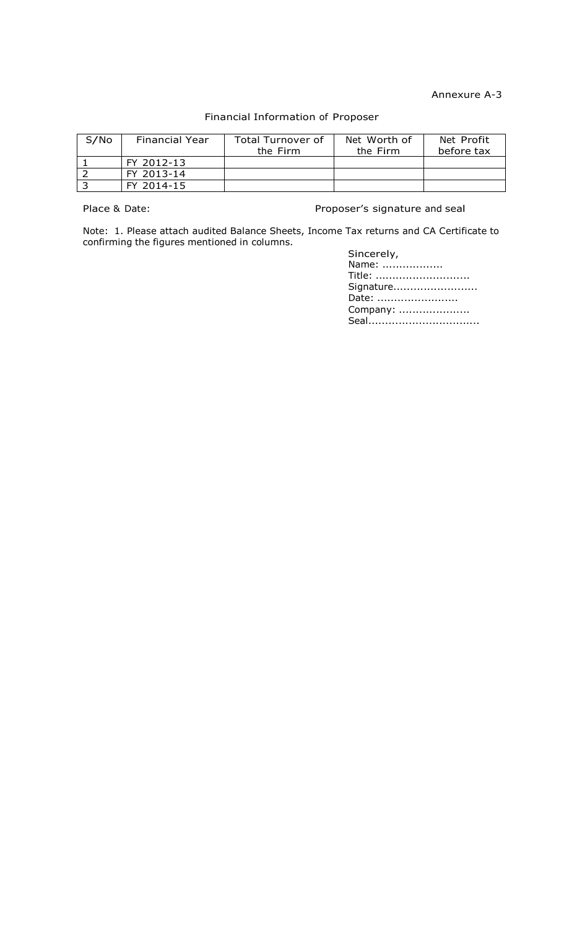Annexure A-3

## Financial Information of Proposer

| S/No | <b>Financial Year</b> | Total Turnover of<br>the Firm | Net Worth of<br>the Firm | Net Profit<br>before tax |
|------|-----------------------|-------------------------------|--------------------------|--------------------------|
|      | FY 2012-13            |                               |                          |                          |
|      | FY 2013-14            |                               |                          |                          |
|      | FY 2014-15            |                               |                          |                          |

Place & Date: Place & Date: Proposer's signature and seal

Note: 1. Please attach audited Balance Sheets, Income Tax returns and CA Certificate to confirming the figures mentioned in columns.

| Sincerely, |
|------------|
| Name:      |
| Title:     |
| Signature  |
| Date:      |
| Company:   |
| Seal       |